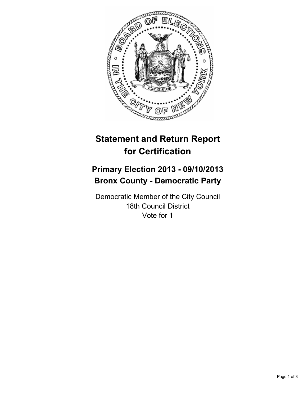

# **Statement and Return Report for Certification**

## **Primary Election 2013 - 09/10/2013 Bronx County - Democratic Party**

Democratic Member of the City Council 18th Council District Vote for 1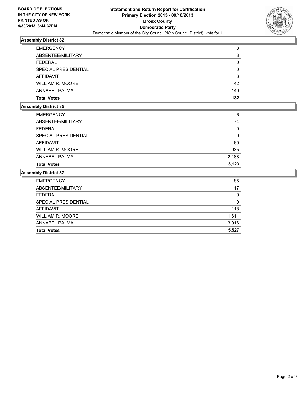

## **Assembly District 82**

| <b>EMERGENCY</b>        | 8   |
|-------------------------|-----|
| ABSENTEE/MILITARY       | 3   |
| <b>FEDERAL</b>          | 0   |
| SPECIAL PRESIDENTIAL    | 0   |
| <b>AFFIDAVIT</b>        | 3   |
| <b>WILLIAM R. MOORE</b> | 42  |
| ANNABEL PALMA           | 140 |
| <b>Total Votes</b>      | 182 |

## **Assembly District 85**

| <b>Total Votes</b>      | 3,123    |
|-------------------------|----------|
| ANNABEL PALMA           | 2,188    |
| <b>WILLIAM R. MOORE</b> | 935      |
| <b>AFFIDAVIT</b>        | 60       |
| SPECIAL PRESIDENTIAL    | 0        |
| <b>FEDERAL</b>          | $\Omega$ |
| ABSENTEE/MILITARY       | 74       |
| <b>EMERGENCY</b>        | 6        |

### **Assembly District 87**

| <b>EMERGENCY</b>        | 85    |
|-------------------------|-------|
| ABSENTEE/MILITARY       | 117   |
| <b>FEDERAL</b>          | 0     |
| SPECIAL PRESIDENTIAL    | 0     |
| AFFIDAVIT               | 118   |
| <b>WILLIAM R. MOORE</b> | 1,611 |
| ANNABEL PALMA           | 3,916 |
| <b>Total Votes</b>      | 5,527 |